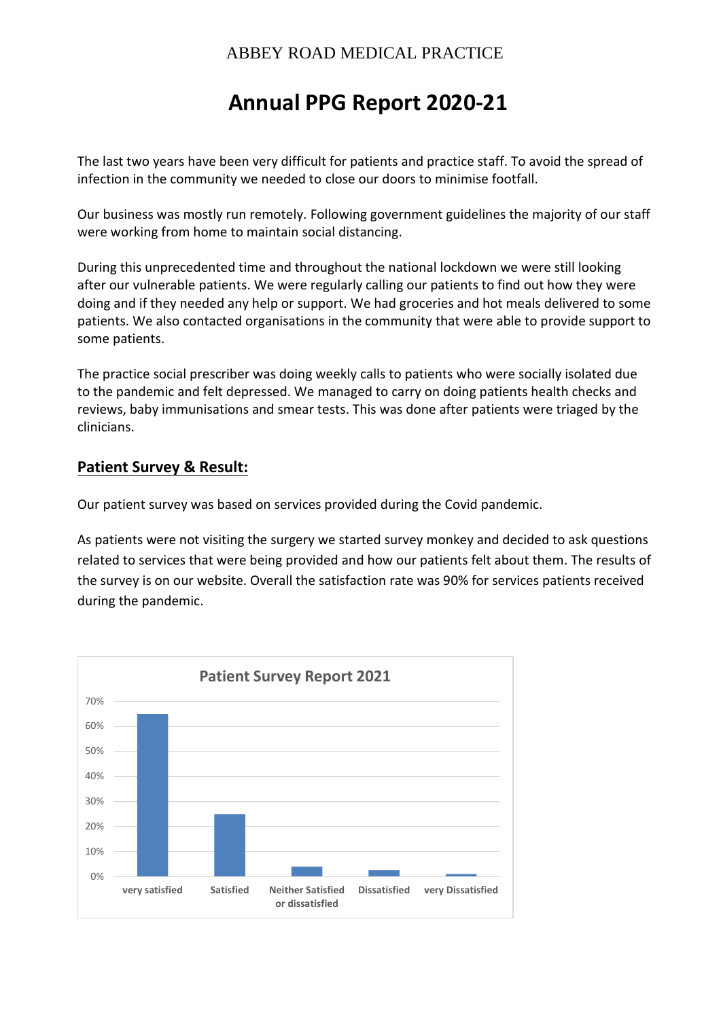# **Annual PPG Report 2020-21**

The last two years have been very difficult for patients and practice staff. To avoid the spread of infection in the community we needed to close our doors to minimise footfall.

Our business was mostly run remotely. Following government guidelines the majority of our staff were working from home to maintain social distancing.

During this unprecedented time and throughout the national lockdown we were still looking after our vulnerable patients. We were regularly calling our patients to find out how they were doing and if they needed any help or support. We had groceries and hot meals delivered to some patients. We also contacted organisations in the community that were able to provide support to some patients.

The practice social prescriber was doing weekly calls to patients who were socially isolated due to the pandemic and felt depressed. We managed to carry on doing patients health checks and reviews, baby immunisations and smear tests. This was done after patients were triaged by the clinicians.

#### **Patient Survey & Result:**

Our patient survey was based on services provided during the Covid pandemic.

As patients were not visiting the surgery we started survey monkey and decided to ask questions related to services that were being provided and how our patients felt about them. The results of the survey is on our website. Overall the satisfaction rate was 90% for services patients received during the pandemic.

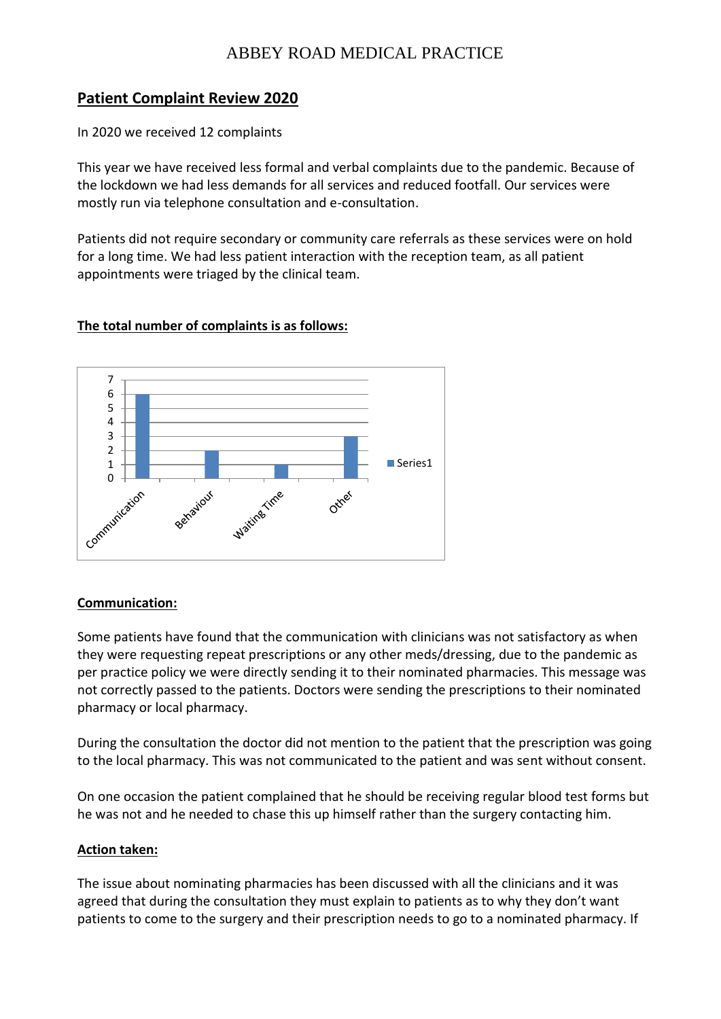### **Patient Complaint Review 2020**

In 2020 we received 12 complaints

This year we have received less formal and verbal complaints due to the pandemic. Because of the lockdown we had less demands for all services and reduced footfall. Our services were mostly run via telephone consultation and e-consultation.

Patients did not require secondary or community care referrals as these services were on hold for a long time. We had less patient interaction with the reception team, as all patient appointments were triaged by the clinical team.

#### **The total number of complaints is as follows:**



#### **Communication:**

Some patients have found that the communication with clinicians was not satisfactory as when they were requesting repeat prescriptions or any other meds/dressing, due to the pandemic as per practice policy we were directly sending it to their nominated pharmacies. This message was not correctly passed to the patients. Doctors were sending the prescriptions to their nominated pharmacy or local pharmacy.

During the consultation the doctor did not mention to the patient that the prescription was going to the local pharmacy. This was not communicated to the patient and was sent without consent.

On one occasion the patient complained that he should be receiving regular blood test forms but he was not and he needed to chase this up himself rather than the surgery contacting him.

#### **Action taken:**

The issue about nominating pharmacies has been discussed with all the clinicians and it was agreed that during the consultation they must explain to patients as to why they don't want patients to come to the surgery and their prescription needs to go to a nominated pharmacy. If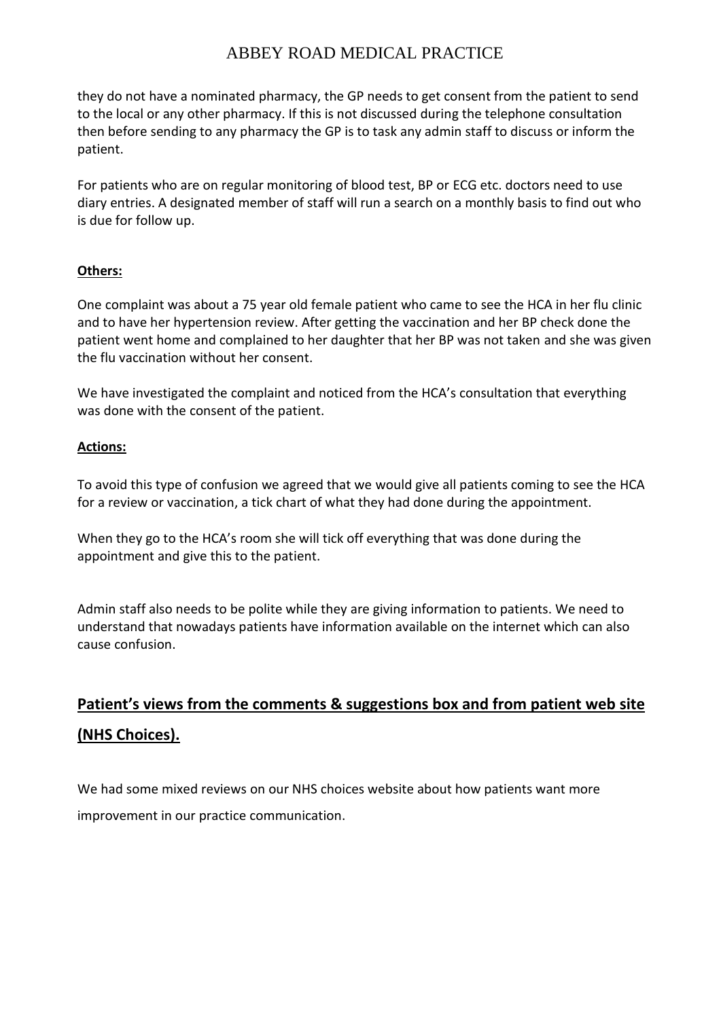they do not have a nominated pharmacy, the GP needs to get consent from the patient to send to the local or any other pharmacy. If this is not discussed during the telephone consultation then before sending to any pharmacy the GP is to task any admin staff to discuss or inform the patient.

For patients who are on regular monitoring of blood test, BP or ECG etc. doctors need to use diary entries. A designated member of staff will run a search on a monthly basis to find out who is due for follow up.

#### **Others:**

One complaint was about a 75 year old female patient who came to see the HCA in her flu clinic and to have her hypertension review. After getting the vaccination and her BP check done the patient went home and complained to her daughter that her BP was not taken and she was given the flu vaccination without her consent.

We have investigated the complaint and noticed from the HCA's consultation that everything was done with the consent of the patient.

#### **Actions:**

To avoid this type of confusion we agreed that we would give all patients coming to see the HCA for a review or vaccination, a tick chart of what they had done during the appointment.

When they go to the HCA's room she will tick off everything that was done during the appointment and give this to the patient.

Admin staff also needs to be polite while they are giving information to patients. We need to understand that nowadays patients have information available on the internet which can also cause confusion.

## **Patient's views from the comments & suggestions box and from patient web site (NHS Choices).**

We had some mixed reviews on our NHS choices website about how patients want more improvement in our practice communication.